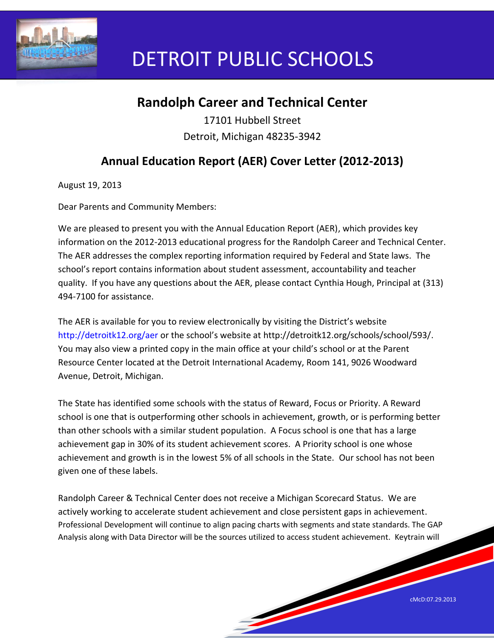

# DETROIT PUBLIC SCHOOLS

# **Randolph Career and Technical Center**

17101 Hubbell Street Detroit, Michigan 48235-3942

# **Annual Education Report (AER) Cover Letter (2012-2013)**

August 19, 2013

Dear Parents and Community Members:

We are pleased to present you with the Annual Education Report (AER), which provides key information on the 2012-2013 educational progress for the Randolph Career and Technical Center. The AER addresses the complex reporting information required by Federal and State laws. The school's report contains information about student assessment, accountability and teacher quality. If you have any questions about the AER, please contact Cynthia Hough, Principal at (313) 494-7100 for assistance.

The AER is available for you to review electronically by visiting the District's website http://detroitk12.org/aer or the school's website at http://detroitk12.org/schools/school/593/. You may also view a printed copy in the main office at your child's school or at the Parent Resource Center located at the Detroit International Academy, Room 141, 9026 Woodward Avenue, Detroit, Michigan.

The State has identified some schools with the status of Reward, Focus or Priority. A Reward school is one that is outperforming other schools in achievement, growth, or is performing better than other schools with a similar student population. A Focus school is one that has a large achievement gap in 30% of its student achievement scores. A Priority school is one whose achievement and growth is in the lowest 5% of all schools in the State. Our school has not been given one of these labels.

Randolph Career & Technical Center does not receive a Michigan Scorecard Status. We are actively working to accelerate student achievement and close persistent gaps in achievement. Professional Development will continue to align pacing charts with segments and state standards. The GAP Analysis along with Data Director will be the sources utilized to access student achievement. Keytrain will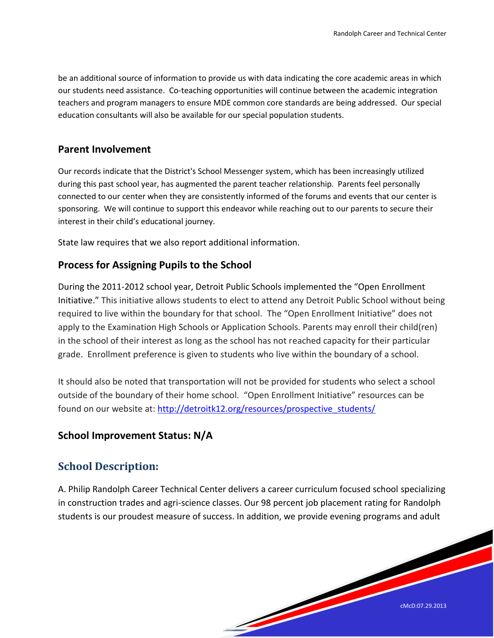be an additional source of information to provide us with data indicating the core academic areas in which our students need assistance. Co-teaching opportunities will continue between the academic integration teachers and program managers to ensure MDE common core standards are being addressed. Our special education consultants will also be available for our special population students.

#### **Parent Involvement**

Our records indicate that the District's School Messenger system, which has been increasingly utilized during this past school year, has augmented the parent teacher relationship. Parents feel personally connected to our center when they are consistently informed of the forums and events that our center is sponsoring. We will continue to support this endeavor while reaching out to our parents to secure their interest in their child's educational journey.

State law requires that we also report additional information.

#### **Process for Assigning Pupils to the School**

During the 2011-2012 school year, Detroit Public Schools implemented the "Open Enrollment Initiative." This initiative allows students to elect to attend any Detroit Public School without being required to live within the boundary for that school. The "Open Enrollment Initiative" does not apply to the Examination High Schools or Application Schools. Parents may enroll their child(ren) in the school of their interest as long as the school has not reached capacity for their particular grade. Enrollment preference is given to students who live within the boundary of a school.

It should also be noted that transportation will not be provided for students who select a school outside of the boundary of their home school. "Open Enrollment Initiative" resources can be found on our website at: [http://detroitk12.org/resources/prospective\\_students/](http://detroitk12.org/resources/prospective_students/)

#### **School Improvement Status: N/A**

## **School Description:**

A. Philip Randolph Career Technical Center delivers a career curriculum focused school specializing in construction trades and agri-science classes. Our 98 percent job placement rating for Randolph students is our proudest measure of success. In addition, we provide evening programs and adult

a de la característica de la característica de la característica de la característica de la característica de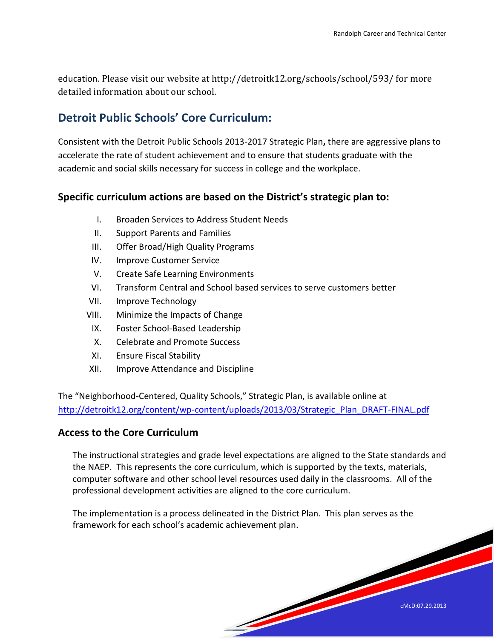education. Please visit our website at http://detroitk12.org/schools/school/593/ for more detailed information about our school.

## **Detroit Public Schools' Core Curriculum:**

Consistent with the Detroit Public Schools 2013-2017 Strategic Plan**,** there are aggressive plans to accelerate the rate of student achievement and to ensure that students graduate with the academic and social skills necessary for success in college and the workplace.

## **Specific curriculum actions are based on the District's strategic plan to:**

- I. Broaden Services to Address Student Needs
- II. Support Parents and Families
- III. Offer Broad/High Quality Programs
- IV. Improve Customer Service
- V. Create Safe Learning Environments
- VI. Transform Central and School based services to serve customers better
- VII. Improve Technology
- VIII. Minimize the Impacts of Change
- IX. Foster School-Based Leadership
- X. Celebrate and Promote Success
- XI. Ensure Fiscal Stability
- XII. Improve Attendance and Discipline

The "Neighborhood-Centered, Quality Schools," Strategic Plan, is available online at [http://detroitk12.org/content/wp-content/uploads/2013/03/Strategic\\_Plan\\_DRAFT-FINAL.pdf](http://detroitk12.org/content/wp-content/uploads/2013/03/Strategic_Plan_DRAFT-FINAL.pdf)

#### **Access to the Core Curriculum**

The instructional strategies and grade level expectations are aligned to the State standards and the NAEP. This represents the core curriculum, which is supported by the texts, materials, computer software and other school level resources used daily in the classrooms. All of the professional development activities are aligned to the core curriculum.

and the second contract of the contract of

The implementation is a process delineated in the District Plan. This plan serves as the framework for each school's academic achievement plan.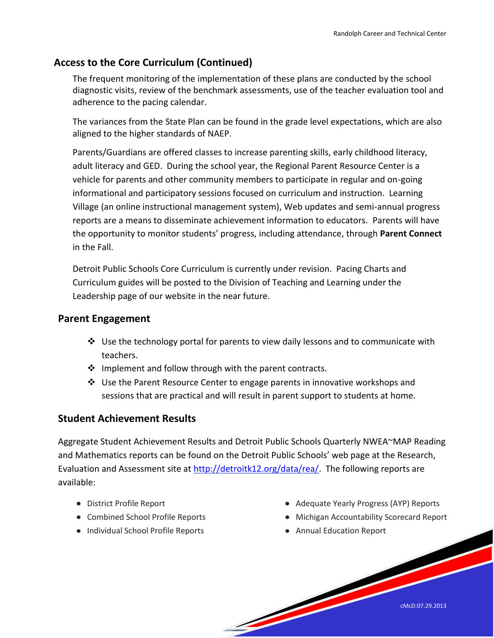## **Access to the Core Curriculum (Continued)**

The frequent monitoring of the implementation of these plans are conducted by the school diagnostic visits, review of the benchmark assessments, use of the teacher evaluation tool and adherence to the pacing calendar.

The variances from the State Plan can be found in the grade level expectations, which are also aligned to the higher standards of NAEP.

Parents/Guardians are offered classes to increase parenting skills, early childhood literacy, adult literacy and GED. During the school year, the Regional Parent Resource Center is a vehicle for parents and other community members to participate in regular and on-going informational and participatory sessions focused on curriculum and instruction. Learning Village (an online instructional management system), Web updates and semi-annual progress reports are a means to disseminate achievement information to educators. Parents will have the opportunity to monitor students' progress, including attendance, through **Parent Connect**  in the Fall.

Detroit Public Schools Core Curriculum is currently under revision. Pacing Charts and Curriculum guides will be posted to the Division of Teaching and Learning under the Leadership page of our website in the near future.

#### **Parent Engagement**

- $\cdot$  Use the technology portal for parents to view daily lessons and to communicate with teachers.
- $\div$  Implement and follow through with the parent contracts.
- $\div$  Use the Parent Resource Center to engage parents in innovative workshops and sessions that are practical and will result in parent support to students at home.

#### **Student Achievement Results**

Aggregate Student Achievement Results and Detroit Public Schools Quarterly NWEA~MAP Reading and Mathematics reports can be found on the Detroit Public Schools' web page at the Research, Evaluation and Assessment site at [http://detroitk12.org/data/rea/.](http://detroitk12.org/data/rea/) The following reports are available:

**Contract Contract Contract Contract Contract Contract Contract Contract Contract Contract Contract Contract C** 

- District Profile Report
- Combined School Profile Reports
- Individual School Profile Reports
- Adequate Yearly Progress (AYP) Reports
- Michigan Accountability Scorecard Report
- Annual Education Report